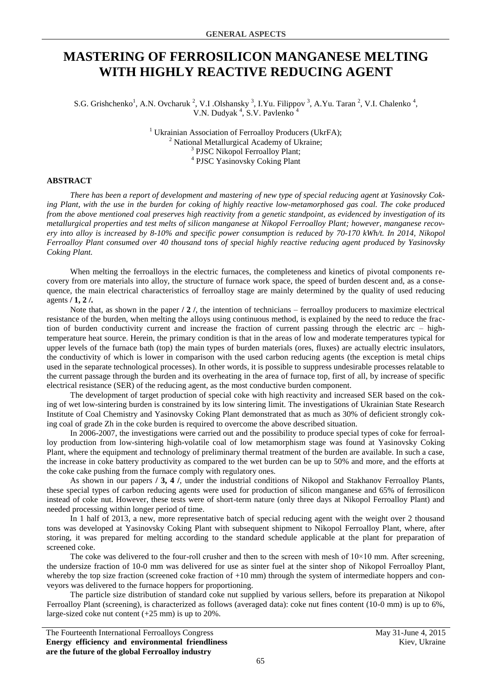## **MASTERING OF FERROSILICON MANGANESE MELTING WITH HIGHLY REACTIVE REDUCING AGENT**

S.G. Grishchenko<sup>1</sup>, A.N. Ovcharuk<sup>2</sup>, V.I. Olshansky<sup>3</sup>, I.Yu. Filippov<sup>3</sup>, A.Yu. Taran<sup>2</sup>, V.I. Chalenko<sup>4</sup>, V.N. Dudyak<sup>4</sup>, S.V. Pavlenko<sup>4</sup>

> <sup>1</sup> Ukrainian Association of Ferroalloy Producers (UkrFA);  $2$  National Metallurgical Academy of Ukraine; <sup>3</sup> PJSC Nikopol Ferroalloy Plant; 4 PJSC Yasinovsky Coking Plant

## **ABSTRACT**

*There has been a report of development and mastering оf new type of special reducing agent at Yasinovsky Coking Plant, with the use in the burden for coking of highly reactive low-metamorphosed gas coal. The coke produced from the above mentioned coal preserves high reactivity from a genetic standpoint, as evidenced by investigation of its metallurgical properties and test melts of silicon manganese at Nikopol Ferroalloy Plant; however, manganese recovery into alloy is increased by 8-10% and specific power consumption is reduced by 70-170 kWh/t. In 2014, Nikopol Ferroalloy Plant consumed over 40 thousand tons of special highly reactive reducing agent produced by Yasinovsky Coking Plant.*

When melting the ferroalloys in the electric furnaces, the completeness and kinetics of pivotal components recovery from ore materials into alloy, the structure of furnace work space, the speed of burden descent and, as a consequence, the main electrical characteristics of ferroalloy stage are mainly determined by the quality of used reducing agents **/ 1, 2 /.**

Note that, as shown in the paper **/ 2** *l*, the intention of technicians – ferroalloy producers to maximize electrical resistance of the burden, when melting the alloys using continuous method, is explained by the need to reduce the fraction of burden conductivity current and increase the fraction of current passing through the electric arc – hightemperature heat source. Herein, the primary condition is that in the areas of low and moderate temperatures typical for upper levels of the furnace bath (top) the main types of burden materials (ores, fluxes) are actually electric insulators, the conductivity of which is lower in comparison with the used carbon reducing agents (the exception is metal chips used in the separate technological processes). In other words, it is possible to suppress undesirable processes relatable to the current passage through the burden and its overheating in the area of furnace top, first of all, by increase of specific electrical resistance (SER) of the reducing agent, as the most conductive burden component.

The development of target production of special coke with high reactivity and increased SER based on the coking of wet low-sintering burden is constrained by its low sintering limit. The investigations of Ukrainian State Research Institute of Coal Chemistry and Yasinovsky Coking Plant demonstrated that as much as 30% of deficient strongly coking coal of grade Zh in the coke burden is required to overcome the above described situation.

In 2006-2007, the investigations were carried out and the possibility to produce special types of coke for ferroalloy production from low-sintering high-volatile coal of low metamorphism stage was found at Yasinovsky Coking Plant, where the equipment and technology of preliminary thermal treatment of the burden are available. In such a case, the increase in coke battery productivity as compared to the wet burden can be up to 50% and more, and the efforts at the coke cake pushing from the furnace comply with regulatory ones.

As shown in our papers **/ 3, 4 /**, under the industrial conditions of Nikopol and Stakhanov Ferroalloy Plants, these special types of carbon reducing agents were used for production of silicon manganese and 65% of ferrosilicon instead of coke nut. However, these tests were of short-term nature (only three days at Nikopol Ferroalloy Plant) and needed processing within longer period of time.

In 1 half of 2013, a new, more representative batch of special reducing agent with the weight over 2 thousand tons was developed at Yasinovsky Coking Plant with subsequent shipment to Nikopol Ferroalloy Plant, where, after storing, it was prepared for melting according to the standard schedule applicable at the plant for preparation of screened coke.

The coke was delivered to the four-roll crusher and then to the screen with mesh of  $10\times10$  mm. After screening, the undersize fraction of 10-0 mm was delivered for use as sinter fuel at the sinter shop of Nikopol Ferroalloy Plant, whereby the top size fraction (screened coke fraction of +10 mm) through the system of intermediate hoppers and conveyors was delivered to the furnace hoppers for proportioning.

The particle size distribution of standard coke nut supplied by various sellers, before its preparation at Nikopol Ferroalloy Plant (screening), is characterized as follows (averaged data): coke nut fines content (10-0 mm) is up to 6%, large-sized coke nut content (+25 mm) is up to 20%.

The Fourteenth International Ferroalloys Congress May 31-June 4, 2015 **Energy efficiency and environmental friendliness are the future of the global Ferroalloy industry**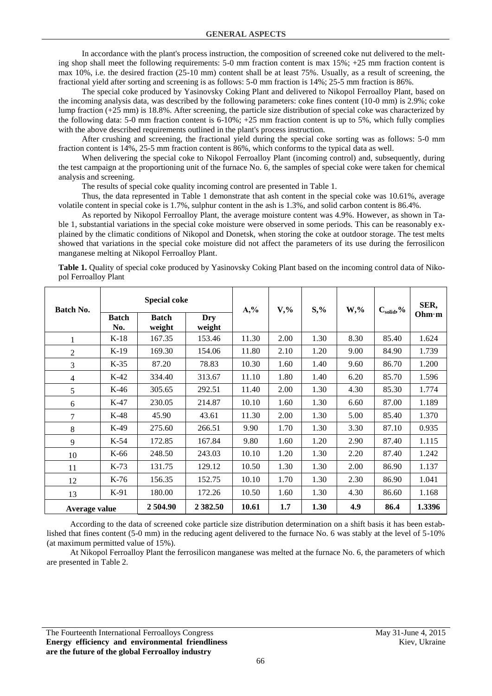In accordance with the plant's process instruction, the composition of screened coke nut delivered to the melting shop shall meet the following requirements: 5-0 mm fraction content is max 15%; +25 mm fraction content is max 10%, i.e. the desired fraction (25-10 mm) content shall be at least 75%. Usually, as a result of screening, the fractional yield after sorting and screening is as follows: 5-0 mm fraction is 14%; 25-5 mm fraction is 86%.

The special coke produced by Yasinovsky Coking Plant and delivered to Nikopol Ferroalloy Plant, based on the incoming analysis data, was described by the following parameters: coke fines content (10-0 mm) is 2.9%; coke lump fraction (+25 mm) is 18.8%. After screening, the particle size distribution of special coke was characterized by the following data: 5-0 mm fraction content is 6-10%; +25 mm fraction content is up to 5%, which fully complies with the above described requirements outlined in the plant's process instruction.

After crushing and screening, the fractional yield during the special coke sorting was as follows: 5-0 mm fraction content is 14%, 25-5 mm fraction content is 86%, which conforms to the typical data as well.

When delivering the special coke to Nikopol Ferroalloy Plant (incoming control) and, subsequently, during the test campaign at the proportioning unit of the furnace No. 6, the samples of special coke were taken for chemical analysis and screening.

The results of special coke quality incoming control are presented in Table 1.

Thus, the data represented in Table 1 demonstrate that ash content in the special coke was 10.61%, average volatile content in special coke is 1.7%, sulphur content in the ash is 1.3%, and solid carbon content is 86.4%.

As reported by Nikopol Ferroalloy Plant, the average moisture content was 4.9%. However, as shown in Table 1, substantial variations in the special coke moisture were observed in some periods. This can be reasonably explained by the climatic conditions of Nikopol and Donetsk, when storing the coke at outdoor storage. The test melts showed that variations in the special coke moisture did not affect the parameters of its use during the ferrosilicon manganese melting at Nikopol Ferroalloy Plant.

| Table 1. Quality of special coke produced by Yasinovsky Coking Plant based on the incoming control data of Niko- |  |  |
|------------------------------------------------------------------------------------------------------------------|--|--|
| pol Ferroalloy Plant                                                                                             |  |  |

| Batch No.     |                     | <b>Special coke</b>    |               | $A, \%$ | $V, \%$ | $S, \%$ | $W, \%$ | $C_{\rm solid}, \%$ | SER,   |
|---------------|---------------------|------------------------|---------------|---------|---------|---------|---------|---------------------|--------|
|               | <b>Batch</b><br>No. | <b>Batch</b><br>weight | Dry<br>weight |         |         |         |         |                     | Ohm·m  |
| 1             | $K-18$              | 167.35                 | 153.46        | 11.30   | 2.00    | 1.30    | 8.30    | 85.40               | 1.624  |
| 2             | $K-19$              | 169.30                 | 154.06        | 11.80   | 2.10    | 1.20    | 9.00    | 84.90               | 1.739  |
| 3             | $K-35$              | 87.20                  | 78.83         | 10.30   | 1.60    | 1.40    | 9.60    | 86.70               | 1.200  |
| 4             | $K-42$              | 334.40                 | 313.67        | 11.10   | 1.80    | 1.40    | 6.20    | 85.70               | 1.596  |
| 5             | $K-46$              | 305.65                 | 292.51        | 11.40   | 2.00    | 1.30    | 4.30    | 85.30               | 1.774  |
| 6             | $K-47$              | 230.05                 | 214.87        | 10.10   | 1.60    | 1.30    | 6.60    | 87.00               | 1.189  |
| 7             | $K-48$              | 45.90                  | 43.61         | 11.30   | 2.00    | 1.30    | 5.00    | 85.40               | 1.370  |
| 8             | $K-49$              | 275.60                 | 266.51        | 9.90    | 1.70    | 1.30    | 3.30    | 87.10               | 0.935  |
| 9             | $K-54$              | 172.85                 | 167.84        | 9.80    | 1.60    | 1.20    | 2.90    | 87.40               | 1.115  |
| 10            | K-66                | 248.50                 | 243.03        | 10.10   | 1.20    | 1.30    | 2.20    | 87.40               | 1.242  |
| 11            | $K-73$              | 131.75                 | 129.12        | 10.50   | 1.30    | 1.30    | 2.00    | 86.90               | 1.137  |
| 12            | K-76                | 156.35                 | 152.75        | 10.10   | 1.70    | 1.30    | 2.30    | 86.90               | 1.041  |
| 13            | $K-91$              | 180.00                 | 172.26        | 10.50   | 1.60    | 1.30    | 4.30    | 86.60               | 1.168  |
| Average value |                     | 2 504.90               | 2 3 8 2 .50   | 10.61   | 1.7     | 1.30    | 4.9     | 86.4                | 1.3396 |

According to the data of screened coke particle size distribution determination on a shift basis it has been established that fines content (5-0 mm) in the reducing agent delivered to the furnace No. 6 was stably at the level of 5-10% (at maximum permitted value of 15%).

At Nikopol Ferroalloy Plant the ferrosilicon manganese was melted at the furnace No. 6, the parameters of which are presented in Table 2.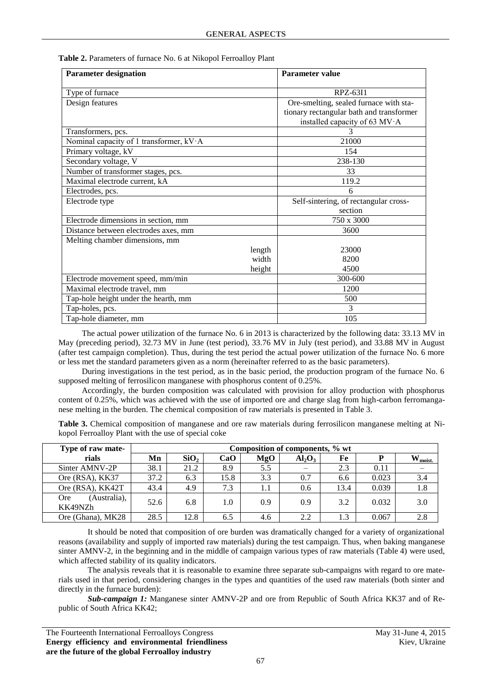| Table 2. Parameters of furnace No. 6 at Nikopol Ferroalloy Plant |  |  |  |
|------------------------------------------------------------------|--|--|--|
|------------------------------------------------------------------|--|--|--|

| <b>Parameter designation</b>            | <b>Parameter value</b>                   |
|-----------------------------------------|------------------------------------------|
| Type of furnace                         | RPZ-63I1                                 |
| Design features                         | Ore-smelting, sealed furnace with sta-   |
|                                         | tionary rectangular bath and transformer |
|                                         | installed capacity of 63 MV·A            |
| Transformers, pcs.                      |                                          |
| Nominal capacity of 1 transformer, kV·A | 21000                                    |
| Primary voltage, kV                     | 154                                      |
| Secondary voltage, V                    | 238-130                                  |
| Number of transformer stages, pcs.      | 33                                       |
| Maximal electrode current, kA           | 119.2                                    |
| Electrodes, pcs.                        | 6                                        |
| Electrode type                          | Self-sintering, of rectangular cross-    |
|                                         | section                                  |
| Electrode dimensions in section, mm     | 750 x 3000                               |
| Distance between electrodes axes, mm    | 3600                                     |
| Melting chamber dimensions, mm          |                                          |
| length                                  | 23000                                    |
| width                                   | 8200                                     |
| height                                  | 4500                                     |
| Electrode movement speed, mm/min        | 300-600                                  |
| Maximal electrode travel, mm            | 1200                                     |
| Tap-hole height under the hearth, mm    | 500                                      |
| Tap-holes, pcs.                         | 3                                        |
| Tap-hole diameter, mm                   | 105                                      |

The actual power utilization of the furnace No. 6 in 2013 is characterized by the following data: 33.13 MV in May (preceding period), 32.73 MV in June (test period), 33.76 MV in July (test period), and 33.88 MV in August (after test campaign completion). Thus, during the test period the actual power utilization of the furnace No. 6 more or less met the standard parameters given as a norm (hereinafter referred to as the basic parameters).

During investigations in the test period, as in the basic period, the production program of the furnace No. 6 supposed melting of ferrosilicon manganese with phosphorus content of 0.25%.

Accordingly, the burden composition was calculated with provision for alloy production with phosphorus content of 0.25%, which was achieved with the use of imported ore and charge slag from high-carbon ferromanganese melting in the burden. The chemical composition of raw materials is presented in Table 3.

**Table 3.** Chemical composition of manganese and ore raw materials during ferrosilicon manganese melting at Nikopol Ferroalloy Plant with the use of special coke

| Type of raw mate-                     | Composition of components, % wt |                  |      |     |                          |      |       |                     |
|---------------------------------------|---------------------------------|------------------|------|-----|--------------------------|------|-------|---------------------|
| rials                                 | Mn                              | SiO <sub>2</sub> | CaO  | MgO | $Al_2O_3$                | Fe   |       | $W_{\text{moist.}}$ |
| Sinter AMNV-2P                        | 38.1                            | 21.2             | 8.9  | 5.5 | $\overline{\phantom{0}}$ | 2.3  | 0.11  |                     |
| Ore (RSA), KK37                       | 37.2                            | 6.3              | 15.8 | 3.3 | 0.7                      | 6.6  | 0.023 | 3.4                 |
| Ore (RSA), KK42T                      | 43.4                            | 4.9              | 7.3  | 1.1 | 0.6                      | 13.4 | 0.039 | 1.8                 |
| (Australia),<br><b>Ore</b><br>KK49NZh | 52.6                            | 6.8              | 1.0  | 0.9 | 0.9                      | 3.2  | 0.032 | 3.0                 |
| Ore (Ghana), MK28                     | 28.5                            | 12.8             | 6.5  | 4.6 | 2.2                      | 1.3  | 0.067 | 2.8                 |

It should be noted that composition of ore burden was dramatically changed for a variety of organizational reasons (availability and supply of imported raw materials) during the test campaign. Thus, when baking manganese sinter AMNV-2, in the beginning and in the middle of campaign various types of raw materials (Table 4) were used, which affected stability of its quality indicators.

The analysis reveals that it is reasonable to examine three separate sub-campaigns with regard to ore materials used in that period, considering changes in the types and quantities of the used raw materials (both sinter and directly in the furnace burden):

*Sub-campaign 1:* Manganese sinter AMNV-2P and ore from Republic of South Africa KK37 and of Republic of South Africa KK42;

The Fourteenth International Ferroalloys Congress May 31-June 4, 2015 **Energy efficiency and environmental friendliness are the future of the global Ferroalloy industry**

Kiev, Ukraine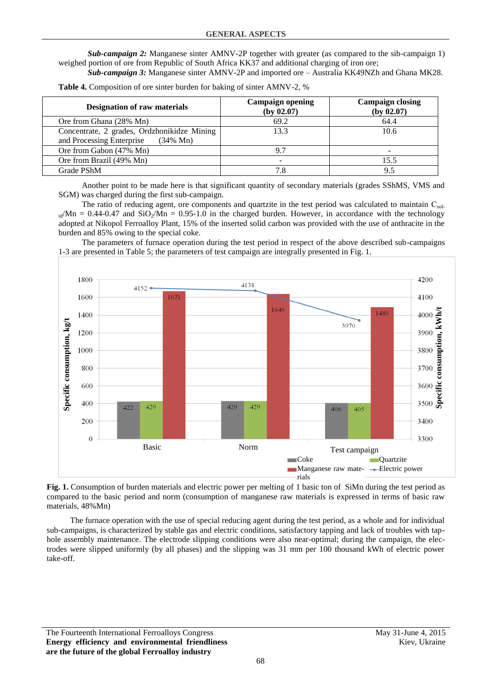*Sub-campaign 2:* Manganese sinter AMNV-2P together with greater (as compared to the sib-campaign 1) weighed portion of ore from Republic of South Africa KK37 and additional charging of iron ore;

*Sub-campaign 3:* Manganese sinter AMNV-2P and imported ore – Australia KK49NZh and Ghana MK28.

| <b>Designation of raw materials</b>                                                             | <b>Campaign opening</b><br>(by 02.07) | <b>Campaign closing</b><br>(by 02.07) |  |
|-------------------------------------------------------------------------------------------------|---------------------------------------|---------------------------------------|--|
| Ore from Ghana (28% Mn)                                                                         | 69.2                                  | 64.4                                  |  |
| Concentrate, 2 grades, Ordzhonikidze Mining<br>and Processing Enterprise<br>$(34\% \text{ Mn})$ | 13.3                                  | 10.6                                  |  |
| Ore from Gabon (47% Mn)                                                                         | Q <sub>7</sub>                        |                                       |  |
| Ore from Brazil (49% Mn)                                                                        |                                       | 15.5                                  |  |
| Grade PShM                                                                                      | 7.8                                   | 9.5                                   |  |

**Table 4.** Composition of ore sinter burden for baking of sinter AMNV-2, %

Another point to be made here is that significant quantity of secondary materials (grades SShMS, VMS and SGM) was charged during the first sub-campaign.

The ratio of reducing agent, ore components and quartzite in the test period was calculated to maintain  $C_{sol}$  $_{id}$ /Mn = 0.44-0.47 and SiO<sub>2</sub>/Mn = 0.95-1.0 in the charged burden. However, in accordance with the technology adopted at Nikopol Ferroalloy Plant, 15% of the inserted solid carbon was provided with the use of anthracite in the burden and 85% owing to the special coke.

The parameters of furnace operation during the test period in respect of the above described sub-campaigns 1-3 are presented in Table 5; the parameters of test campaign are integrally presented in Fig. 1.



**Fig. 1.** Consumption of burden materials and electric power per melting of 1 basic ton of SiMn during the test period as compared to the basic period and norm (consumption of manganese raw materials is expressed in terms of basic raw materials, 48%Mn)

The furnace operation with the use of special reducing agent during the test period, as a whole and for individual sub-campaigns, is characterized by stable gas and electric conditions, satisfactory tapping and lack of troubles with taphole assembly maintenance. The electrode slipping conditions were also near-optimal; during the campaign, the electrodes were slipped uniformly (by all phases) and the slipping was 31 mm per 100 thousand kWh of electric power take-off.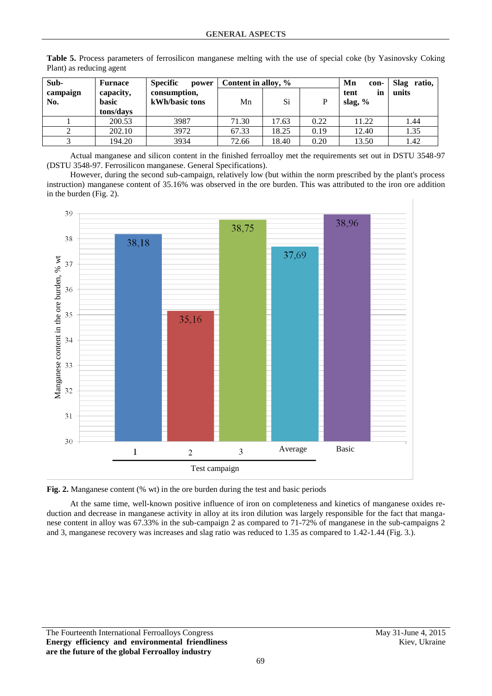| Sub-            | Furnace                   | <b>Specific</b><br>power       |       | Content in alloy, % |      |                         | Slag ratio, |
|-----------------|---------------------------|--------------------------------|-------|---------------------|------|-------------------------|-------------|
| campaign<br>No. | capacity,<br><b>basic</b> | consumption,<br>kWh/basic tons | Mn    | Si                  | D    | tent<br>in<br>slag, $%$ | units       |
|                 | tons/days                 |                                |       |                     |      |                         |             |
|                 | 200.53                    | 3987                           | 71.30 | 17.63               | 0.22 | 11.22                   | 1.44        |
|                 | 202.10                    | 3972                           | 67.33 | 18.25               | 0.19 | 12.40                   | 1.35        |
|                 | 194.20                    | 3934                           | 72.66 | 18.40               | 0.20 | 13.50                   | 1.42        |

**Table 5.** Process parameters of ferrosilicon manganese melting with the use of special coke (by Yasinovsky Coking Plant) as reducing agent

Actual manganese and silicon content in the finished ferroalloy met the requirements set out in DSTU 3548-97 (DSTU 3548-97. Ferrosilicon manganese. General Specifications).

However, during the second sub-campaign, relatively low (but within the norm prescribed by the plant's process instruction) manganese content of 35.16% was observed in the ore burden. This was attributed to the iron ore addition in the burden (Fig. 2).





At the same time, well-known positive influence of iron on completeness and kinetics of manganese oxides reduction and decrease in manganese activity in alloy at its iron dilution was largely responsible for the fact that manganese content in alloy was 67.33% in the sub-campaign 2 as compared to 71-72% of manganese in the sub-campaigns 2 and 3, manganese recovery was increases and slag ratio was reduced to 1.35 as compared to 1.42-1.44 (Fig. 3.).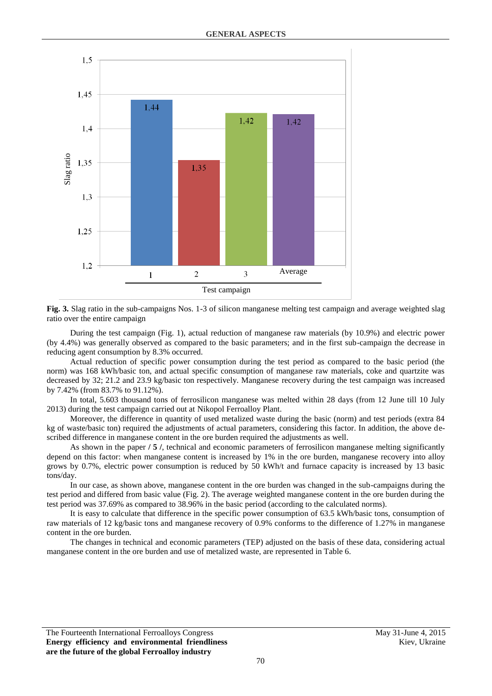

Test campaign

**Fig. 3.** Slag ratio in the sub-campaigns Nos. 1-3 of silicon manganese melting test campaign and average weighted slag ratio over the entire campaign

During the test campaign (Fig. 1), actual reduction of manganese raw materials (by 10.9%) and electric power (by 4.4%) was generally observed as compared to the basic parameters; and in the first sub-campaign the decrease in reducing agent consumption by 8.3% occurred.

Actual reduction of specific power consumption during the test period as compared to the basic period (the norm) was 168 kWh/basic ton, and actual specific consumption of manganese raw materials, coke and quartzite was decreased by 32; 21.2 and 23.9 kg/basic ton respectively. Manganese recovery during the test campaign was increased by 7.42% (from 83.7% to 91.12%).

In total, 5.603 thousand tons of ferrosilicon manganese was melted within 28 days (from 12 June till 10 July 2013) during the test campaign carried out at Nikopol Ferroalloy Plant.

Moreover, the difference in quantity of used metalized waste during the basic (norm) and test periods (extra 84 kg of waste/basic ton) required the adjustments of actual parameters, considering this factor. In addition, the above described difference in manganese content in the ore burden required the adjustments as well.

As shown in the paper **/ 5 /**, technical and economic parameters of ferrosilicon manganese melting significantly depend on this factor: when manganese content is increased by 1% in the ore burden, manganese recovery into alloy grows by 0.7%, electric power consumption is reduced by 50 kWh/t and furnace capacity is increased by 13 basic tons/day.

In our case, as shown above, manganese content in the ore burden was changed in the sub-campaigns during the test period and differed from basic value (Fig. 2). The average weighted manganese content in the ore burden during the test period was 37.69% as compared to 38.96% in the basic period (according to the calculated norms).

It is easy to calculate that difference in the specific power consumption of 63.5 kWh/basic tons, consumption of raw materials of 12 kg/basic tons and manganese recovery of 0.9% conforms to the difference of 1.27% in manganese content in the ore burden.

The changes in technical and economic parameters (TEP) adjusted on the basis of these data, considering actual manganese content in the ore burden and use of metalized waste, are represented in Table 6.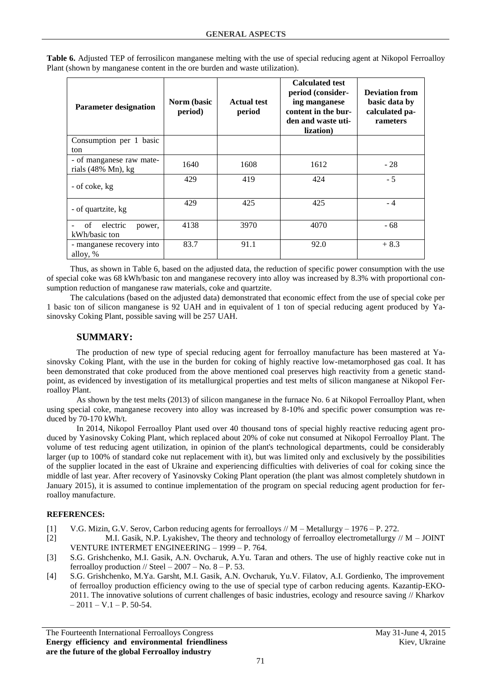| <b>Parameter designation</b>                   | Norm (basic<br>period) | <b>Actual test</b><br>period | <b>Calculated test</b><br>period (consider-<br>ing manganese<br>content in the bur-<br>den and waste uti-<br>lization) | <b>Deviation from</b><br>basic data by<br>calculated pa-<br>rameters |
|------------------------------------------------|------------------------|------------------------------|------------------------------------------------------------------------------------------------------------------------|----------------------------------------------------------------------|
| Consumption per 1 basic<br>ton                 |                        |                              |                                                                                                                        |                                                                      |
| - of manganese raw mate-<br>rials (48% Mn), kg | 1640                   | 1608                         | 1612                                                                                                                   | $-28$                                                                |
| - of coke, kg                                  | 429                    | 419                          | 424                                                                                                                    | $-5$                                                                 |
| - of quartzite, kg                             | 429                    | 425                          | 425                                                                                                                    | $-4$                                                                 |
| electric<br>οf<br>power,<br>kWh/basic ton      | 4138                   | 3970                         | 4070                                                                                                                   | - 68                                                                 |
| - manganese recovery into<br>alloy, %          | 83.7                   | 91.1                         | 92.0                                                                                                                   | $+8.3$                                                               |

**Table 6.** Adjusted TEP of ferrosilicon manganese melting with the use of special reducing agent at Nikopol Ferroalloy Plant (shown by manganese content in the ore burden and waste utilization).

Thus, as shown in Table 6, based on the adjusted data, the reduction of specific power consumption with the use of special coke was 68 kWh/basic ton and manganese recovery into alloy was increased by 8.3% with proportional consumption reduction of manganese raw materials, coke and quartzite.

The calculations (based on the adjusted data) demonstrated that economic effect from the use of special coke per 1 basic ton of silicon manganese is 92 UAH and in equivalent of 1 ton of special reducing agent produced by Yasinovsky Coking Plant, possible saving will be 257 UAH.

## **SUMMARY:**

The production of new type of special reducing agent for ferroalloy manufacture has been mastered at Yasinovsky Coking Plant, with the use in the burden for coking of highly reactive low-metamorphosed gas coal. It has been demonstrated that coke produced from the above mentioned coal preserves high reactivity from a genetic standpoint, as evidenced by investigation of its metallurgical properties and test melts of silicon manganese at Nikopol Ferroalloy Plant.

As shown by the test melts (2013) of silicon manganese in the furnace No. 6 at Nikopol Ferroalloy Plant, when using special coke, manganese recovery into alloy was increased by 8-10% and specific power consumption was reduced by 70-170 kWh/t.

In 2014, Nikopol Ferroalloy Plant used over 40 thousand tons of special highly reactive reducing agent produced by Yasinovsky Coking Plant, which replaced about 20% of coke nut consumed at Nikopol Ferroalloy Plant. The volume of test reducing agent utilization, in opinion of the plant's technological departments, could be considerably larger (up to 100% of standard coke nut replacement with it), but was limited only and exclusively by the possibilities of the supplier located in the east of Ukraine and experiencing difficulties with deliveries of coal for coking since the middle of last year. After recovery of Yasinovsky Coking Plant operation (the plant was almost completely shutdown in January 2015), it is assumed to continue implementation of the program on special reducing agent production for ferroalloy manufacture.

## **REFERENCES:**

- [1] V.G. Mizin, G.V. Serov, Carbon reducing agents for ferroalloys // M Metallurgy 1976 P. 272.
- [2] M.I. Gasik, N.P. Lyakishev, The theory and technology of ferroalloy electrometallurgy // M JOINT VENTURE INTERMET ENGINEERING – 1999 – P. 764.
- [3] S.G. Grishchenko, M.I. Gasik, A.N. Ovcharuk, A.Yu. Taran and others. The use of highly reactive coke nut in ferroallov production // Steel  $-2007 -$  No.  $8 - P. 53$ .
- [4] S.G. Grishchenko, M.Ya. Garsht, M.I. Gasik, A.N. Ovcharuk, Yu.V. Filatov, A.I. Gordienko, The improvement of ferroalloy production efficiency owing to the use of special type of carbon reducing agents. Kazantip-EKO-2011. The innovative solutions of current challenges of basic industries, ecology and resource saving // Kharkov  $-2011 - V.1 - P.50-54.$

The Fourteenth International Ferroalloys Congress May 31-June 4, 2015 **Energy efficiency and environmental friendliness are the future of the global Ferroalloy industry**